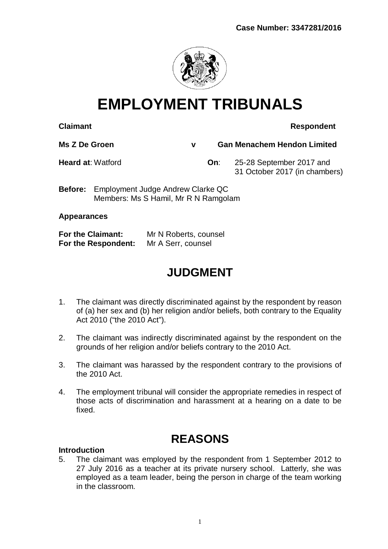

# **EMPLOYMENT TRIBUNALS**

### **Claimant Respondent**

**Ms Z De Groen v Gan Menachem Hendon Limited**

**Heard at**: Watford **On**: 25-28 September 2017 and 31 October 2017 (in chambers)

**Before:** Employment Judge Andrew Clarke QC Members: Ms S Hamil, Mr R N Ramgolam

#### **Appearances**

| <b>For the Claimant:</b> | Mr N Roberts, counsel |
|--------------------------|-----------------------|
| For the Respondent:      | Mr A Serr, counsel    |

## **JUDGMENT**

- 1. The claimant was directly discriminated against by the respondent by reason of (a) her sex and (b) her religion and/or beliefs, both contrary to the Equality Act 2010 ("the 2010 Act").
- 2. The claimant was indirectly discriminated against by the respondent on the grounds of her religion and/or beliefs contrary to the 2010 Act.
- 3. The claimant was harassed by the respondent contrary to the provisions of the 2010 Act.
- 4. The employment tribunal will consider the appropriate remedies in respect of those acts of discrimination and harassment at a hearing on a date to be fixed.

### **REASONS**

#### **Introduction**

5. The claimant was employed by the respondent from 1 September 2012 to 27 July 2016 as a teacher at its private nursery school. Latterly, she was employed as a team leader, being the person in charge of the team working in the classroom.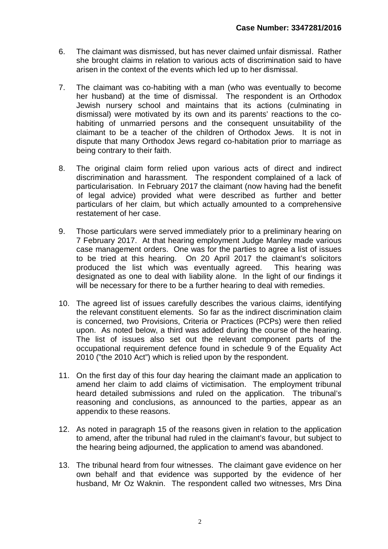- 6. The claimant was dismissed, but has never claimed unfair dismissal. Rather she brought claims in relation to various acts of discrimination said to have arisen in the context of the events which led up to her dismissal.
- 7. The claimant was co-habiting with a man (who was eventually to become her husband) at the time of dismissal. The respondent is an Orthodox Jewish nursery school and maintains that its actions (culminating in dismissal) were motivated by its own and its parents' reactions to the cohabiting of unmarried persons and the consequent unsuitability of the claimant to be a teacher of the children of Orthodox Jews. It is not in dispute that many Orthodox Jews regard co-habitation prior to marriage as being contrary to their faith.
- 8. The original claim form relied upon various acts of direct and indirect discrimination and harassment. The respondent complained of a lack of particularisation. In February 2017 the claimant (now having had the benefit of legal advice) provided what were described as further and better particulars of her claim, but which actually amounted to a comprehensive restatement of her case.
- 9. Those particulars were served immediately prior to a preliminary hearing on 7 February 2017. At that hearing employment Judge Manley made various case management orders. One was for the parties to agree a list of issues to be tried at this hearing. On 20 April 2017 the claimant's solicitors produced the list which was eventually agreed. This hearing was designated as one to deal with liability alone. In the light of our findings it will be necessary for there to be a further hearing to deal with remedies.
- 10. The agreed list of issues carefully describes the various claims, identifying the relevant constituent elements. So far as the indirect discrimination claim is concerned, two Provisions, Criteria or Practices (PCPs) were then relied upon. As noted below, a third was added during the course of the hearing. The list of issues also set out the relevant component parts of the occupational requirement defence found in schedule 9 of the Equality Act 2010 ("the 2010 Act") which is relied upon by the respondent.
- 11. On the first day of this four day hearing the claimant made an application to amend her claim to add claims of victimisation. The employment tribunal heard detailed submissions and ruled on the application. The tribunal's reasoning and conclusions, as announced to the parties, appear as an appendix to these reasons.
- 12. As noted in paragraph 15 of the reasons given in relation to the application to amend, after the tribunal had ruled in the claimant's favour, but subject to the hearing being adjourned, the application to amend was abandoned.
- 13. The tribunal heard from four witnesses. The claimant gave evidence on her own behalf and that evidence was supported by the evidence of her husband, Mr Oz Waknin. The respondent called two witnesses, Mrs Dina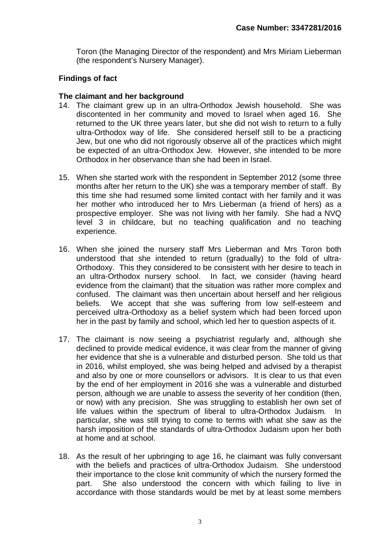Toron (the Managing Director of the respondent) and Mrs Miriam Lieberman (the respondent's Nursery Manager).

#### **Findings of fact**

#### **The claimant and her background**

- 14. The claimant grew up in an ultra-Orthodox Jewish household. She was discontented in her community and moved to Israel when aged 16. She returned to the UK three years later, but she did not wish to return to a fully ultra-Orthodox way of life. She considered herself still to be a practicing Jew, but one who did not rigorously observe all of the practices which might be expected of an ultra-Orthodox Jew. However, she intended to be more Orthodox in her observance than she had been in Israel.
- 15. When she started work with the respondent in September 2012 (some three months after her return to the UK) she was a temporary member of staff. By this time she had resumed some limited contact with her family and it was her mother who introduced her to Mrs Lieberman (a friend of hers) as a prospective employer. She was not living with her family. She had a NVQ level 3 in childcare, but no teaching qualification and no teaching experience.
- 16. When she joined the nursery staff Mrs Lieberman and Mrs Toron both understood that she intended to return (gradually) to the fold of ultra-Orthodoxy. This they considered to be consistent with her desire to teach in an ultra-Orthodox nursery school. In fact, we consider (having heard evidence from the claimant) that the situation was rather more complex and confused. The claimant was then uncertain about herself and her religious beliefs. We accept that she was suffering from low self-esteem and perceived ultra-Orthodoxy as a belief system which had been forced upon her in the past by family and school, which led her to question aspects of it.
- 17. The claimant is now seeing a psychiatrist regularly and, although she declined to provide medical evidence, it was clear from the manner of giving her evidence that she is a vulnerable and disturbed person. She told us that in 2016, whilst employed, she was being helped and advised by a therapist and also by one or more counsellors or advisors. It is clear to us that even by the end of her employment in 2016 she was a vulnerable and disturbed person, although we are unable to assess the severity of her condition (then, or now) with any precision. She was struggling to establish her own set of life values within the spectrum of liberal to ultra-Orthodox Judaism. In particular, she was still trying to come to terms with what she saw as the harsh imposition of the standards of ultra-Orthodox Judaism upon her both at home and at school.
- 18. As the result of her upbringing to age 16, he claimant was fully conversant with the beliefs and practices of ultra-Orthodox Judaism. She understood their importance to the close knit community of which the nursery formed the part. She also understood the concern with which failing to live in accordance with those standards would be met by at least some members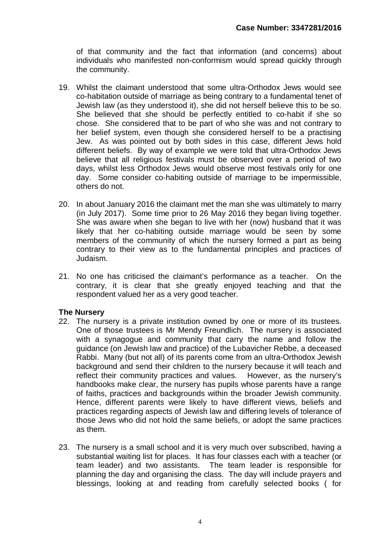of that community and the fact that information (and concerns) about individuals who manifested non-conformism would spread quickly through the community.

- 19. Whilst the claimant understood that some ultra-Orthodox Jews would see co-habitation outside of marriage as being contrary to a fundamental tenet of Jewish law (as they understood it), she did not herself believe this to be so. She believed that she should be perfectly entitled to co-habit if she so chose. She considered that to be part of who she was and not contrary to her belief system, even though she considered herself to be a practising Jew. As was pointed out by both sides in this case, different Jews hold different beliefs. By way of example we were told that ultra-Orthodox Jews believe that all religious festivals must be observed over a period of two days, whilst less Orthodox Jews would observe most festivals only for one day. Some consider co-habiting outside of marriage to be impermissible, others do not.
- 20. In about January 2016 the claimant met the man she was ultimately to marry (in July 2017). Some time prior to 26 May 2016 they began living together. She was aware when she began to live with her (now) husband that it was likely that her co-habiting outside marriage would be seen by some members of the community of which the nursery formed a part as being contrary to their view as to the fundamental principles and practices of Judaism.
- 21. No one has criticised the claimant's performance as a teacher. On the contrary, it is clear that she greatly enjoyed teaching and that the respondent valued her as a very good teacher.

#### **The Nursery**

- 22. The nursery is a private institution owned by one or more of its trustees. One of those trustees is Mr Mendy Freundlich. The nursery is associated with a synagogue and community that carry the name and follow the guidance (on Jewish law and practice) of the Lubavicher Rebbe, a deceased Rabbi. Many (but not all) of its parents come from an ultra-Orthodox Jewish background and send their children to the nursery because it will teach and reflect their community practices and values. However, as the nursery's handbooks make clear, the nursery has pupils whose parents have a range of faiths, practices and backgrounds within the broader Jewish community. Hence, different parents were likely to have different views, beliefs and practices regarding aspects of Jewish law and differing levels of tolerance of those Jews who did not hold the same beliefs, or adopt the same practices as them.
- 23. The nursery is a small school and it is very much over subscribed, having a substantial waiting list for places. It has four classes each with a teacher (or team leader) and two assistants. The team leader is responsible for planning the day and organising the class. The day will include prayers and blessings, looking at and reading from carefully selected books ( for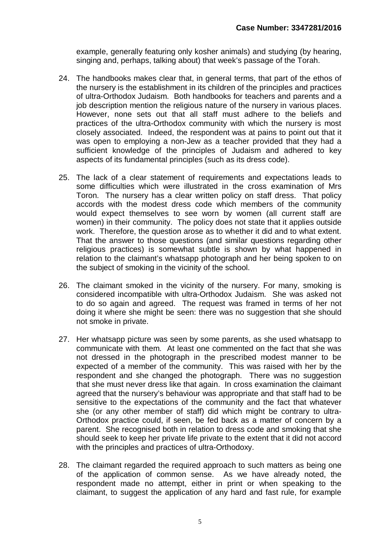example, generally featuring only kosher animals) and studying (by hearing, singing and, perhaps, talking about) that week's passage of the Torah.

- 24. The handbooks makes clear that, in general terms, that part of the ethos of the nursery is the establishment in its children of the principles and practices of ultra-Orthodox Judaism. Both handbooks for teachers and parents and a job description mention the religious nature of the nursery in various places. However, none sets out that all staff must adhere to the beliefs and practices of the ultra-Orthodox community with which the nursery is most closely associated. Indeed, the respondent was at pains to point out that it was open to employing a non-Jew as a teacher provided that they had a sufficient knowledge of the principles of Judaism and adhered to key aspects of its fundamental principles (such as its dress code).
- 25. The lack of a clear statement of requirements and expectations leads to some difficulties which were illustrated in the cross examination of Mrs Toron. The nursery has a clear written policy on staff dress. That policy accords with the modest dress code which members of the community would expect themselves to see worn by women (all current staff are women) in their community. The policy does not state that it applies outside work. Therefore, the question arose as to whether it did and to what extent. That the answer to those questions (and similar questions regarding other religious practices) is somewhat subtle is shown by what happened in relation to the claimant's whatsapp photograph and her being spoken to on the subject of smoking in the vicinity of the school.
- 26. The claimant smoked in the vicinity of the nursery. For many, smoking is considered incompatible with ultra-Orthodox Judaism. She was asked not to do so again and agreed. The request was framed in terms of her not doing it where she might be seen: there was no suggestion that she should not smoke in private.
- 27. Her whatsapp picture was seen by some parents, as she used whatsapp to communicate with them. At least one commented on the fact that she was not dressed in the photograph in the prescribed modest manner to be expected of a member of the community. This was raised with her by the respondent and she changed the photograph. There was no suggestion that she must never dress like that again. In cross examination the claimant agreed that the nursery's behaviour was appropriate and that staff had to be sensitive to the expectations of the community and the fact that whatever she (or any other member of staff) did which might be contrary to ultra-Orthodox practice could, if seen, be fed back as a matter of concern by a parent. She recognised both in relation to dress code and smoking that she should seek to keep her private life private to the extent that it did not accord with the principles and practices of ultra-Orthodoxy.
- 28. The claimant regarded the required approach to such matters as being one of the application of common sense. As we have already noted, the respondent made no attempt, either in print or when speaking to the claimant, to suggest the application of any hard and fast rule, for example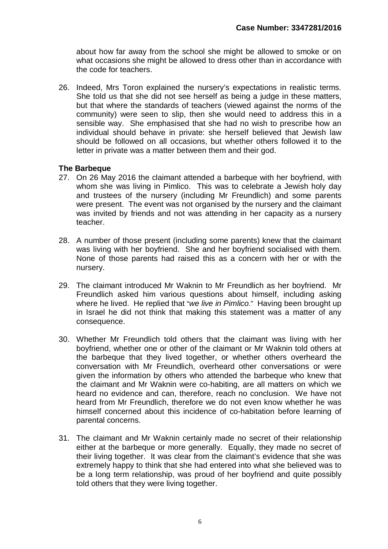about how far away from the school she might be allowed to smoke or on what occasions she might be allowed to dress other than in accordance with the code for teachers.

26. Indeed, Mrs Toron explained the nursery's expectations in realistic terms. She told us that she did not see herself as being a judge in these matters, but that where the standards of teachers (viewed against the norms of the community) were seen to slip, then she would need to address this in a sensible way. She emphasised that she had no wish to prescribe how an individual should behave in private: she herself believed that Jewish law should be followed on all occasions, but whether others followed it to the letter in private was a matter between them and their god.

#### **The Barbeque**

- 27. On 26 May 2016 the claimant attended a barbeque with her boyfriend, with whom she was living in Pimlico. This was to celebrate a Jewish holy day and trustees of the nursery (including Mr Freundlich) and some parents were present. The event was not organised by the nursery and the claimant was invited by friends and not was attending in her capacity as a nursery teacher.
- 28. A number of those present (including some parents) knew that the claimant was living with her boyfriend. She and her boyfriend socialised with them. None of those parents had raised this as a concern with her or with the nursery.
- 29. The claimant introduced Mr Waknin to Mr Freundlich as her boyfriend. Mr Freundlich asked him various questions about himself, including asking where he lived. He replied that "*we live in Pimlico*." Having been brought up in Israel he did not think that making this statement was a matter of any consequence.
- 30. Whether Mr Freundlich told others that the claimant was living with her boyfriend, whether one or other of the claimant or Mr Waknin told others at the barbeque that they lived together, or whether others overheard the conversation with Mr Freundlich, overheard other conversations or were given the information by others who attended the barbeque who knew that the claimant and Mr Waknin were co-habiting, are all matters on which we heard no evidence and can, therefore, reach no conclusion. We have not heard from Mr Freundlich, therefore we do not even know whether he was himself concerned about this incidence of co-habitation before learning of parental concerns.
- 31. The claimant and Mr Waknin certainly made no secret of their relationship either at the barbeque or more generally. Equally, they made no secret of their living together. It was clear from the claimant's evidence that she was extremely happy to think that she had entered into what she believed was to be a long term relationship, was proud of her boyfriend and quite possibly told others that they were living together.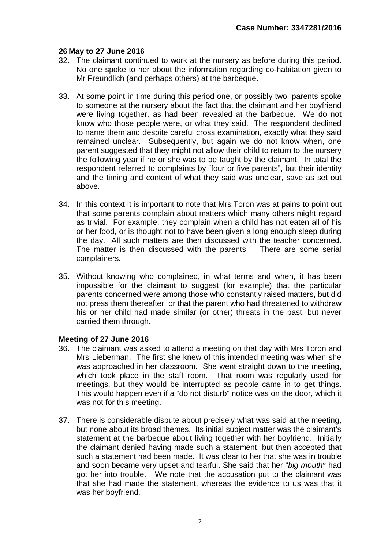#### **26 May to 27 June 2016**

- 32. The claimant continued to work at the nursery as before during this period. No one spoke to her about the information regarding co-habitation given to Mr Freundlich (and perhaps others) at the barbeque.
- 33. At some point in time during this period one, or possibly two, parents spoke to someone at the nursery about the fact that the claimant and her boyfriend were living together, as had been revealed at the barbeque. We do not know who those people were, or what they said. The respondent declined to name them and despite careful cross examination, exactly what they said remained unclear. Subsequently, but again we do not know when, one parent suggested that they might not allow their child to return to the nursery the following year if he or she was to be taught by the claimant. In total the respondent referred to complaints by "four or five parents", but their identity and the timing and content of what they said was unclear, save as set out above.
- 34. In this context it is important to note that Mrs Toron was at pains to point out that some parents complain about matters which many others might regard as trivial. For example, they complain when a child has not eaten all of his or her food, or is thought not to have been given a long enough sleep during the day. All such matters are then discussed with the teacher concerned. The matter is then discussed with the parents. There are some serial complainers.
- 35. Without knowing who complained, in what terms and when, it has been impossible for the claimant to suggest (for example) that the particular parents concerned were among those who constantly raised matters, but did not press them thereafter, or that the parent who had threatened to withdraw his or her child had made similar (or other) threats in the past, but never carried them through.

#### **Meeting of 27 June 2016**

- 36. The claimant was asked to attend a meeting on that day with Mrs Toron and Mrs Lieberman. The first she knew of this intended meeting was when she was approached in her classroom. She went straight down to the meeting, which took place in the staff room. That room was regularly used for meetings, but they would be interrupted as people came in to get things. This would happen even if a "do not disturb" notice was on the door, which it was not for this meeting.
- 37. There is considerable dispute about precisely what was said at the meeting, but none about its broad themes. Its initial subject matter was the claimant's statement at the barbeque about living together with her boyfriend. Initially the claimant denied having made such a statement, but then accepted that such a statement had been made. It was clear to her that she was in trouble and soon became very upset and tearful. She said that her "*big mouth*" had got her into trouble. We note that the accusation put to the claimant was that she had made the statement, whereas the evidence to us was that it was her boyfriend.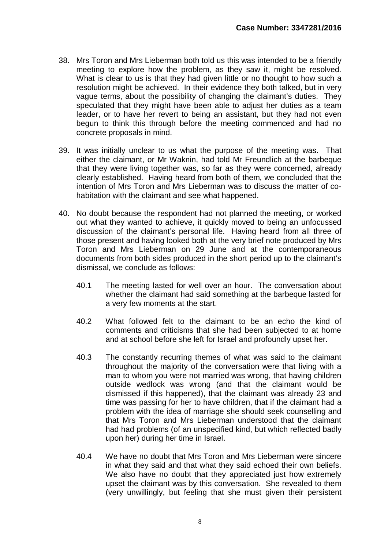- 38. Mrs Toron and Mrs Lieberman both told us this was intended to be a friendly meeting to explore how the problem, as they saw it, might be resolved. What is clear to us is that they had given little or no thought to how such a resolution might be achieved. In their evidence they both talked, but in very vague terms, about the possibility of changing the claimant's duties. They speculated that they might have been able to adiust her duties as a team leader, or to have her revert to being an assistant, but they had not even begun to think this through before the meeting commenced and had no concrete proposals in mind.
- 39. It was initially unclear to us what the purpose of the meeting was. That either the claimant, or Mr Waknin, had told Mr Freundlich at the barbeque that they were living together was, so far as they were concerned, already clearly established. Having heard from both of them, we concluded that the intention of Mrs Toron and Mrs Lieberman was to discuss the matter of cohabitation with the claimant and see what happened.
- 40. No doubt because the respondent had not planned the meeting, or worked out what they wanted to achieve, it quickly moved to being an unfocussed discussion of the claimant's personal life. Having heard from all three of those present and having looked both at the very brief note produced by Mrs Toron and Mrs Lieberman on 29 June and at the contemporaneous documents from both sides produced in the short period up to the claimant's dismissal, we conclude as follows:
	- 40.1 The meeting lasted for well over an hour. The conversation about whether the claimant had said something at the barbeque lasted for a very few moments at the start.
	- 40.2 What followed felt to the claimant to be an echo the kind of comments and criticisms that she had been subjected to at home and at school before she left for Israel and profoundly upset her.
	- 40.3 The constantly recurring themes of what was said to the claimant throughout the majority of the conversation were that living with a man to whom you were not married was wrong, that having children outside wedlock was wrong (and that the claimant would be dismissed if this happened), that the claimant was already 23 and time was passing for her to have children, that if the claimant had a problem with the idea of marriage she should seek counselling and that Mrs Toron and Mrs Lieberman understood that the claimant had had problems (of an unspecified kind, but which reflected badly upon her) during her time in Israel.
	- 40.4 We have no doubt that Mrs Toron and Mrs Lieberman were sincere in what they said and that what they said echoed their own beliefs. We also have no doubt that they appreciated just how extremely upset the claimant was by this conversation. She revealed to them (very unwillingly, but feeling that she must given their persistent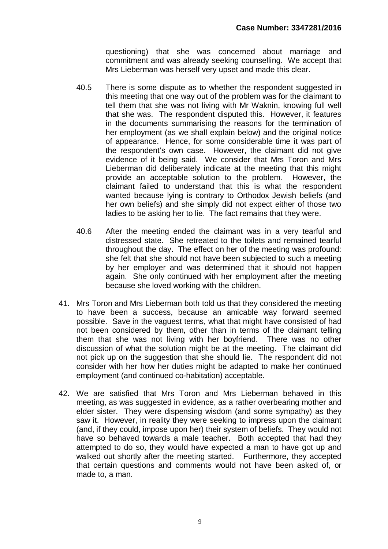questioning) that she was concerned about marriage and commitment and was already seeking counselling. We accept that Mrs Lieberman was herself very upset and made this clear.

- 40.5 There is some dispute as to whether the respondent suggested in this meeting that one way out of the problem was for the claimant to tell them that she was not living with Mr Waknin, knowing full well that she was. The respondent disputed this. However, it features in the documents summarising the reasons for the termination of her employment (as we shall explain below) and the original notice of appearance. Hence, for some considerable time it was part of the respondent's own case. However, the claimant did not give evidence of it being said. We consider that Mrs Toron and Mrs Lieberman did deliberately indicate at the meeting that this might provide an acceptable solution to the problem. However, the claimant failed to understand that this is what the respondent wanted because lying is contrary to Orthodox Jewish beliefs (and her own beliefs) and she simply did not expect either of those two ladies to be asking her to lie. The fact remains that they were.
- 40.6 After the meeting ended the claimant was in a very tearful and distressed state. She retreated to the toilets and remained tearful throughout the day. The effect on her of the meeting was profound: she felt that she should not have been subjected to such a meeting by her employer and was determined that it should not happen again. She only continued with her employment after the meeting because she loved working with the children.
- 41. Mrs Toron and Mrs Lieberman both told us that they considered the meeting to have been a success, because an amicable way forward seemed possible. Save in the vaguest terms, what that might have consisted of had not been considered by them, other than in terms of the claimant telling them that she was not living with her boyfriend. There was no other discussion of what the solution might be at the meeting. The claimant did not pick up on the suggestion that she should lie. The respondent did not consider with her how her duties might be adapted to make her continued employment (and continued co-habitation) acceptable.
- 42. We are satisfied that Mrs Toron and Mrs Lieberman behaved in this meeting, as was suggested in evidence, as a rather overbearing mother and elder sister. They were dispensing wisdom (and some sympathy) as they saw it. However, in reality they were seeking to impress upon the claimant (and, if they could, impose upon her) their system of beliefs. They would not have so behaved towards a male teacher. Both accepted that had they attempted to do so, they would have expected a man to have got up and walked out shortly after the meeting started. Furthermore, they accepted that certain questions and comments would not have been asked of, or made to, a man.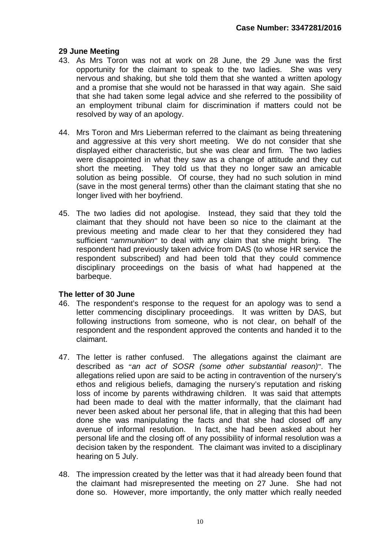#### **29 June Meeting**

- 43. As Mrs Toron was not at work on 28 June, the 29 June was the first opportunity for the claimant to speak to the two ladies. She was very nervous and shaking, but she told them that she wanted a written apology and a promise that she would not be harassed in that way again. She said that she had taken some legal advice and she referred to the possibility of an employment tribunal claim for discrimination if matters could not be resolved by way of an apology.
- 44. Mrs Toron and Mrs Lieberman referred to the claimant as being threatening and aggressive at this very short meeting. We do not consider that she displayed either characteristic, but she was clear and firm. The two ladies were disappointed in what they saw as a change of attitude and they cut short the meeting. They told us that they no longer saw an amicable solution as being possible. Of course, they had no such solution in mind (save in the most general terms) other than the claimant stating that she no longer lived with her boyfriend.
- 45. The two ladies did not apologise. Instead, they said that they told the claimant that they should not have been so nice to the claimant at the previous meeting and made clear to her that they considered they had sufficient "*ammunition*" to deal with any claim that she might bring. The respondent had previously taken advice from DAS (to whose HR service the respondent subscribed) and had been told that they could commence disciplinary proceedings on the basis of what had happened at the barbeque.

#### **The letter of 30 June**

- 46. The respondent's response to the request for an apology was to send a letter commencing disciplinary proceedings. It was written by DAS, but following instructions from someone, who is not clear, on behalf of the respondent and the respondent approved the contents and handed it to the claimant.
- 47. The letter is rather confused. The allegations against the claimant are described as "*an act of SOSR (some other substantial reason)*". The allegations relied upon are said to be acting in contravention of the nursery's ethos and religious beliefs, damaging the nursery's reputation and risking loss of income by parents withdrawing children. It was said that attempts had been made to deal with the matter informally, that the claimant had never been asked about her personal life, that in alleging that this had been done she was manipulating the facts and that she had closed off any avenue of informal resolution. In fact, she had been asked about her personal life and the closing off of any possibility of informal resolution was a decision taken by the respondent. The claimant was invited to a disciplinary hearing on 5 July.
- 48. The impression created by the letter was that it had already been found that the claimant had misrepresented the meeting on 27 June. She had not done so. However, more importantly, the only matter which really needed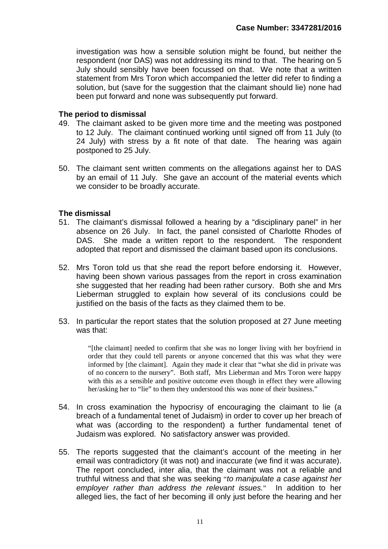investigation was how a sensible solution might be found, but neither the respondent (nor DAS) was not addressing its mind to that. The hearing on 5 July should sensibly have been focussed on that. We note that a written statement from Mrs Toron which accompanied the letter did refer to finding a solution, but (save for the suggestion that the claimant should lie) none had been put forward and none was subsequently put forward.

#### **The period to dismissal**

- 49. The claimant asked to be given more time and the meeting was postponed to 12 July. The claimant continued working until signed off from 11 July (to 24 July) with stress by a fit note of that date. The hearing was again postponed to 25 July.
- 50. The claimant sent written comments on the allegations against her to DAS by an email of 11 July. She gave an account of the material events which we consider to be broadly accurate.

#### **The dismissal**

- 51. The claimant's dismissal followed a hearing by a "disciplinary panel" in her absence on 26 July. In fact, the panel consisted of Charlotte Rhodes of DAS. She made a written report to the respondent. The respondent adopted that report and dismissed the claimant based upon its conclusions.
- 52. Mrs Toron told us that she read the report before endorsing it. However, having been shown various passages from the report in cross examination she suggested that her reading had been rather cursory. Both she and Mrs Lieberman struggled to explain how several of its conclusions could be justified on the basis of the facts as they claimed them to be.
- 53. In particular the report states that the solution proposed at 27 June meeting was that:

"[the claimant] needed to confirm that she was no longer living with her boyfriend in order that they could tell parents or anyone concerned that this was what they were informed by [the claimant]. Again they made it clear that "what she did in private was of no concern to the nursery". Both staff, Mrs Lieberman and Mrs Toron were happy with this as a sensible and positive outcome even though in effect they were allowing her/asking her to "lie" to them they understood this was none of their business."

- 54. In cross examination the hypocrisy of encouraging the claimant to lie (a breach of a fundamental tenet of Judaism) in order to cover up her breach of what was (according to the respondent) a further fundamental tenet of Judaism was explored. No satisfactory answer was provided.
- 55. The reports suggested that the claimant's account of the meeting in her email was contradictory (it was not) and inaccurate (we find it was accurate). The report concluded, inter alia, that the claimant was not a reliable and truthful witness and that she was seeking "*to manipulate a case against her employer rather than address the relevant issues.*" In addition to her alleged lies, the fact of her becoming ill only just before the hearing and her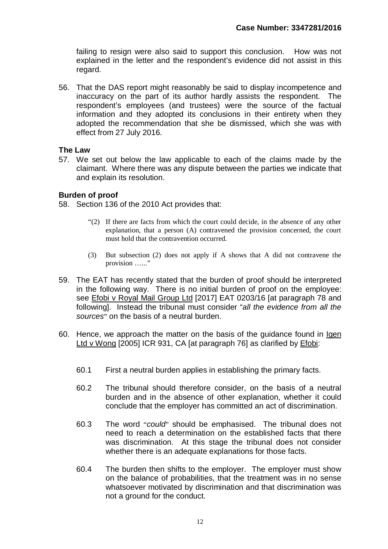failing to resign were also said to support this conclusion. How was not explained in the letter and the respondent's evidence did not assist in this regard.

56. That the DAS report might reasonably be said to display incompetence and inaccuracy on the part of its author hardly assists the respondent. The respondent's employees (and trustees) were the source of the factual information and they adopted its conclusions in their entirety when they adopted the recommendation that she be dismissed, which she was with effect from 27 July 2016.

#### **The Law**

57. We set out below the law applicable to each of the claims made by the claimant. Where there was any dispute between the parties we indicate that and explain its resolution.

#### **Burden of proof**

58. Section 136 of the 2010 Act provides that:

- "(2) If there are facts from which the court could decide, in the absence of any other explanation, that a person (A) contravened the provision concerned, the court must hold that the contravention occurred.
- (3) But subsection (2) does not apply if A shows that A did not contravene the provision ……"
- 59. The EAT has recently stated that the burden of proof should be interpreted in the following way. There is no initial burden of proof on the employee: see Efobi v Royal Mail Group Ltd [2017] EAT 0203/16 [at paragraph 78 and following]. Instead the tribunal must consider "*all the evidence from all the sources*" on the basis of a neutral burden.
- 60. Hence, we approach the matter on the basis of the guidance found in Igen Ltd v Wong [2005] ICR 931, CA [at paragraph 76] as clarified by Efobi:
	- 60.1 First a neutral burden applies in establishing the primary facts.
	- 60.2 The tribunal should therefore consider, on the basis of a neutral burden and in the absence of other explanation, whether it could conclude that the employer has committed an act of discrimination.
	- 60.3 The word "*could*" should be emphasised. The tribunal does not need to reach a determination on the established facts that there was discrimination. At this stage the tribunal does not consider whether there is an adequate explanations for those facts.
	- 60.4 The burden then shifts to the employer. The employer must show on the balance of probabilities, that the treatment was in no sense whatsoever motivated by discrimination and that discrimination was not a ground for the conduct.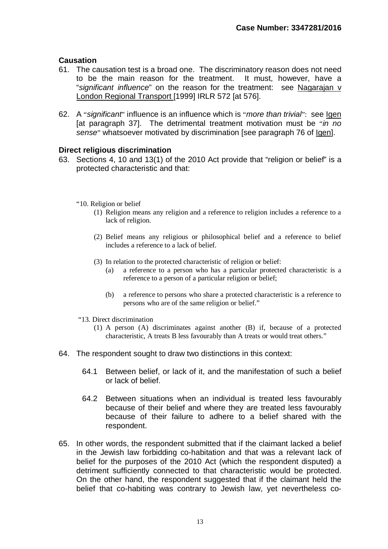#### **Causation**

- 61. The causation test is a broad one. The discriminatory reason does not need to be the main reason for the treatment. It must, however, have a "*significant influence*" on the reason for the treatment: see Nagarajan v London Regional Transport [1999] IRLR 572 [at 576].
- 62. A "*significant*" influence is an influence which is "*more than trivial*": see Igen [at paragraph 37]. The detrimental treatment motivation must be "*in no sense*" whatsoever motivated by discrimination [see paragraph 76 of Igen].

#### **Direct religious discrimination**

- 63. Sections 4, 10 and 13(1) of the 2010 Act provide that "religion or belief" is a protected characteristic and that:
	- "10. Religion or belief
		- (1) Religion means any religion and a reference to religion includes a reference to a lack of religion.
		- (2) Belief means any religious or philosophical belief and a reference to belief includes a reference to a lack of belief.
		- (3) In relation to the protected characteristic of religion or belief:
			- (a) a reference to a person who has a particular protected characteristic is a reference to a person of a particular religion or belief;
			- (b) a reference to persons who share a protected characteristic is a reference to persons who are of the same religion or belief."
	- "13. Direct discrimination
		- (1) A person (A) discriminates against another (B) if, because of a protected characteristic, A treats B less favourably than A treats or would treat others."
- 64. The respondent sought to draw two distinctions in this context:
	- 64.1 Between belief, or lack of it, and the manifestation of such a belief or lack of belief.
	- 64.2 Between situations when an individual is treated less favourably because of their belief and where they are treated less favourably because of their failure to adhere to a belief shared with the respondent.
- 65. In other words, the respondent submitted that if the claimant lacked a belief in the Jewish law forbidding co-habitation and that was a relevant lack of belief for the purposes of the 2010 Act (which the respondent disputed) a detriment sufficiently connected to that characteristic would be protected. On the other hand, the respondent suggested that if the claimant held the belief that co-habiting was contrary to Jewish law, yet nevertheless co-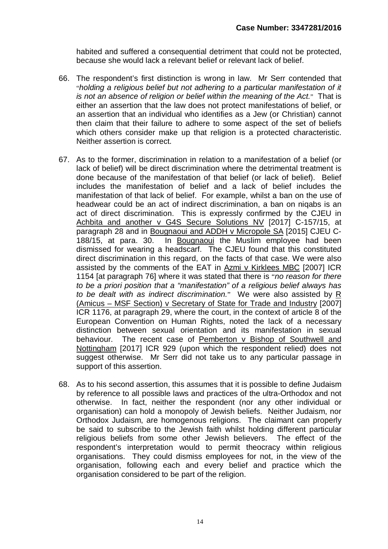habited and suffered a consequential detriment that could not be protected, because she would lack a relevant belief or relevant lack of belief.

- 66. The respondent's first distinction is wrong in law. Mr Serr contended that "*holding a religious belief but not adhering to a particular manifestation of it is not an absence of religion or belief within the meaning of the Act.*" That is either an assertion that the law does not protect manifestations of belief, or an assertion that an individual who identifies as a Jew (or Christian) cannot then claim that their failure to adhere to some aspect of the set of beliefs which others consider make up that religion is a protected characteristic. Neither assertion is correct.
- 67. As to the former, discrimination in relation to a manifestation of a belief (or lack of belief) will be direct discrimination where the detrimental treatment is done because of the manifestation of that belief (or lack of belief). Belief includes the manifestation of belief and a lack of belief includes the manifestation of that lack of belief. For example, whilst a ban on the use of headwear could be an act of indirect discrimination, a ban on niqabs is an act of direct discrimination. This is expressly confirmed by the CJEU in Achbita and another v G4S Secure Solutions NV [2017] C-157/15, at paragraph 28 and in Bougnaoui and ADDH v Micropole SA [2015] CJEU C-188/15, at para. 30. In Bougnaoui the Muslim employee had been dismissed for wearing a headscarf. The CJEU found that this constituted direct discrimination in this regard, on the facts of that case. We were also assisted by the comments of the EAT in Azmi v Kirklees MBC [2007] ICR 1154 [at paragraph 76] where it was stated that there is "*no reason for there to be a priori position that a "manifestation" of a religious belief always has to be dealt with as indirect discrimination.*" We were also assisted by R (Amicus – MSF Section) v Secretary of State for Trade and Industry [2007] ICR 1176, at paragraph 29, where the court, in the context of article 8 of the European Convention on Human Rights, noted the lack of a necessary distinction between sexual orientation and its manifestation in sexual behaviour. The recent case of Pemberton v Bishop of Southwell and Nottingham [2017] ICR 929 (upon which the respondent relied) does not suggest otherwise. Mr Serr did not take us to any particular passage in support of this assertion.
- 68. As to his second assertion, this assumes that it is possible to define Judaism by reference to all possible laws and practices of the ultra-Orthodox and not otherwise. In fact, neither the respondent (nor any other individual or organisation) can hold a monopoly of Jewish beliefs. Neither Judaism, nor Orthodox Judaism, are homogenous religions. The claimant can properly be said to subscribe to the Jewish faith whilst holding different particular religious beliefs from some other Jewish believers. The effect of the respondent's interpretation would to permit theocracy within religious organisations. They could dismiss employees for not, in the view of the organisation, following each and every belief and practice which the organisation considered to be part of the religion.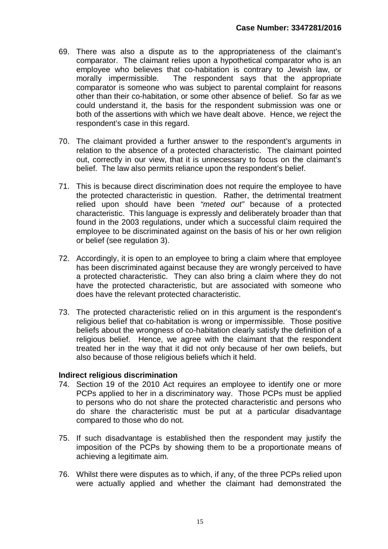- 69. There was also a dispute as to the appropriateness of the claimant's comparator. The claimant relies upon a hypothetical comparator who is an employee who believes that co-habitation is contrary to Jewish law, or morally impermissible. The respondent says that the appropriate comparator is someone who was subject to parental complaint for reasons other than their co-habitation, or some other absence of belief. So far as we could understand it, the basis for the respondent submission was one or both of the assertions with which we have dealt above. Hence, we reject the respondent's case in this regard.
- 70. The claimant provided a further answer to the respondent's arguments in relation to the absence of a protected characteristic. The claimant pointed out, correctly in our view, that it is unnecessary to focus on the claimant's belief. The law also permits reliance upon the respondent's belief.
- 71. This is because direct discrimination does not require the employee to have the protected characteristic in question. Rather, the detrimental treatment relied upon should have been *"meted out"* because of a protected characteristic. This language is expressly and deliberately broader than that found in the 2003 regulations, under which a successful claim required the employee to be discriminated against on the basis of his or her own religion or belief (see regulation 3).
- 72. Accordingly, it is open to an employee to bring a claim where that employee has been discriminated against because they are wrongly perceived to have a protected characteristic. They can also bring a claim where they do not have the protected characteristic, but are associated with someone who does have the relevant protected characteristic.
- 73. The protected characteristic relied on in this argument is the respondent's religious belief that co-habitation is wrong or impermissible. Those positive beliefs about the wrongness of co-habitation clearly satisfy the definition of a religious belief. Hence, we agree with the claimant that the respondent treated her in the way that it did not only because of her own beliefs, but also because of those religious beliefs which it held.

#### **Indirect religious discrimination**

- 74. Section 19 of the 2010 Act requires an employee to identify one or more PCPs applied to her in a discriminatory way. Those PCPs must be applied to persons who do not share the protected characteristic and persons who do share the characteristic must be put at a particular disadvantage compared to those who do not.
- 75. If such disadvantage is established then the respondent may justify the imposition of the PCPs by showing them to be a proportionate means of achieving a legitimate aim.
- 76. Whilst there were disputes as to which, if any, of the three PCPs relied upon were actually applied and whether the claimant had demonstrated the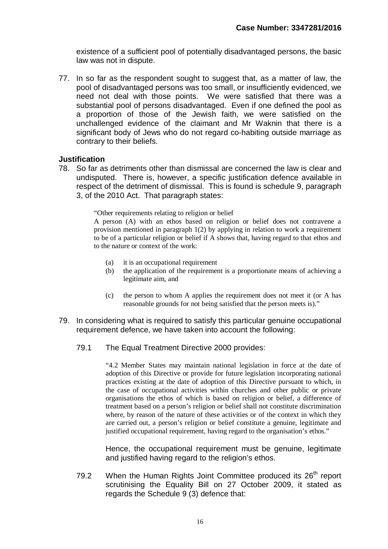existence of a sufficient pool of potentially disadvantaged persons, the basic law was not in dispute.

77. In so far as the respondent sought to suggest that, as a matter of law, the pool of disadvantaged persons was too small, or insufficiently evidenced, we need not deal with those points. We were satisfied that there was a substantial pool of persons disadvantaged. Even if one defined the pool as a proportion of those of the Jewish faith, we were satisfied on the unchallenged evidence of the claimant and Mr Waknin that there is a significant body of Jews who do not regard co-habiting outside marriage as contrary to their beliefs.

#### **Justification**

78. So far as detriments other than dismissal are concerned the law is clear and undisputed. There is, however, a specific justification defence available in respect of the detriment of dismissal. This is found is schedule 9, paragraph 3, of the 2010 Act. That paragraph states:

"Other requirements relating to religion or belief

A person (A) with an ethos based on religion or belief does not contravene a provision mentioned in paragraph 1(2) by applying in relation to work a requirement to be of a particular religion or belief if A shows that, having regard to that ethos and to the nature or context of the work:

- (a) it is an occupational requirement
- (b) the application of the requirement is a proportionate means of achieving a legitimate aim, and
- (c) the person to whom A applies the requirement does not meet it (or A has reasonable grounds for not being satisfied that the person meets is)."
- 79. In considering what is required to satisfy this particular genuine occupational requirement defence, we have taken into account the following:
	- 79.1 The Equal Treatment Directive 2000 provides:

"4.2 Member States may maintain national legislation in force at the date of adoption of this Directive or provide for future legislation incorporating national practices existing at the date of adoption of this Directive pursuant to which, in the case of occupational activities within churches and other public or private organisations the ethos of which is based on religion or belief, a difference of treatment based on a person's religion or belief shall not constitute discrimination where, by reason of the nature of these activities or of the context in which they are carried out, a person's religion or belief constitute a genuine, legitimate and justified occupational requirement, having regard to the organisation's ethos."

Hence, the occupational requirement must be genuine, legitimate and justified having regard to the religion's ethos.

79.2 When the Human Rights Joint Committee produced its  $26<sup>th</sup>$  report scrutinising the Equality Bill on 27 October 2009, it stated as regards the Schedule 9 (3) defence that: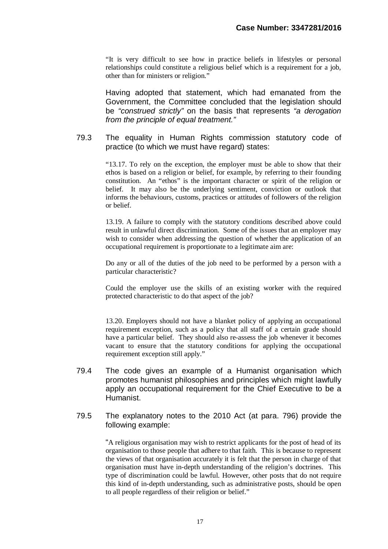"It is very difficult to see how in practice beliefs in lifestyles or personal relationships could constitute a religious belief which is a requirement for a job, other than for ministers or religion."

Having adopted that statement, which had emanated from the Government, the Committee concluded that the legislation should be *"construed strictly"* on the basis that represents *"a derogation from the principle of equal treatment."*

79.3 The equality in Human Rights commission statutory code of practice (to which we must have regard) states:

> "13.17. To rely on the exception, the employer must be able to show that their ethos is based on a religion or belief, for example, by referring to their founding constitution. An "ethos" is the important character or spirit of the religion or belief. It may also be the underlying sentiment, conviction or outlook that informs the behaviours, customs, practices or attitudes of followers of the religion or belief.

> 13.19. A failure to comply with the statutory conditions described above could result in unlawful direct discrimination. Some of the issues that an employer may wish to consider when addressing the question of whether the application of an occupational requirement is proportionate to a legitimate aim are:

> Do any or all of the duties of the job need to be performed by a person with a particular characteristic?

> Could the employer use the skills of an existing worker with the required protected characteristic to do that aspect of the job?

> 13.20. Employers should not have a blanket policy of applying an occupational requirement exception, such as a policy that all staff of a certain grade should have a particular belief. They should also re-assess the job whenever it becomes vacant to ensure that the statutory conditions for applying the occupational requirement exception still apply."

- 79.4 The code gives an example of a Humanist organisation which promotes humanist philosophies and principles which might lawfully apply an occupational requirement for the Chief Executive to be a Humanist.
- 79.5 The explanatory notes to the 2010 Act (at para. 796) provide the following example:

"A religious organisation may wish to restrict applicants for the post of head of its organisation to those people that adhere to that faith. This is because to represent the views of that organisation accurately it is felt that the person in charge of that organisation must have in-depth understanding of the religion's doctrines. This type of discrimination could be lawful. However, other posts that do not require this kind of in-depth understanding, such as administrative posts, should be open to all people regardless of their religion or belief."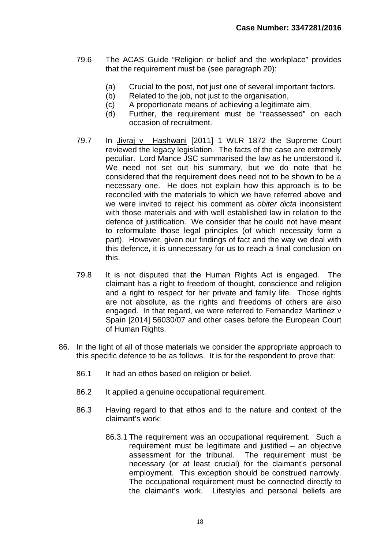- 79.6 The ACAS Guide "Religion or belief and the workplace" provides that the requirement must be (see paragraph 20):
	- (a) Crucial to the post, not just one of several important factors.
	- (b) Related to the job, not just to the organisation,
	- (c) A proportionate means of achieving a legitimate aim,
	- (d) Further, the requirement must be "reassessed" on each occasion of recruitment.
- 79.7 In Jivraj v Hashwani [2011] 1 WLR 1872 the Supreme Court reviewed the legacy legislation. The facts of the case are extremely peculiar. Lord Mance JSC summarised the law as he understood it. We need not set out his summary, but we do note that he considered that the requirement does need not to be shown to be a necessary one. He does not explain how this approach is to be reconciled with the materials to which we have referred above and we were invited to reject his comment as *obiter dicta* inconsistent with those materials and with well established law in relation to the defence of justification. We consider that he could not have meant to reformulate those legal principles (of which necessity form a part). However, given our findings of fact and the way we deal with this defence, it is unnecessary for us to reach a final conclusion on this.
- 79.8 It is not disputed that the Human Rights Act is engaged. The claimant has a right to freedom of thought, conscience and religion and a right to respect for her private and family life. Those rights are not absolute, as the rights and freedoms of others are also engaged. In that regard, we were referred to Fernandez Martinez v Spain [2014] 56030/07 and other cases before the European Court of Human Rights.
- 86. In the light of all of those materials we consider the appropriate approach to this specific defence to be as follows. It is for the respondent to prove that:
	- 86.1 It had an ethos based on religion or belief.
	- 86.2 It applied a genuine occupational requirement.
	- 86.3 Having regard to that ethos and to the nature and context of the claimant's work:
		- 86.3.1 The requirement was an occupational requirement. Such a requirement must be legitimate and justified – an objective assessment for the tribunal. The requirement must be necessary (or at least crucial) for the claimant's personal employment. This exception should be construed narrowly. The occupational requirement must be connected directly to the claimant's work. Lifestyles and personal beliefs are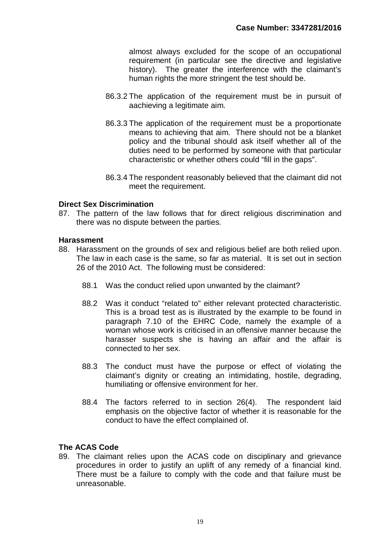almost always excluded for the scope of an occupational requirement (in particular see the directive and legislative history). The greater the interference with the claimant's human rights the more stringent the test should be.

- 86.3.2 The application of the requirement must be in pursuit of aachieving a legitimate aim.
- 86.3.3 The application of the requirement must be a proportionate means to achieving that aim. There should not be a blanket policy and the tribunal should ask itself whether all of the duties need to be performed by someone with that particular characteristic or whether others could "fill in the gaps".
- 86.3.4 The respondent reasonably believed that the claimant did not meet the requirement.

#### **Direct Sex Discrimination**

87. The pattern of the law follows that for direct religious discrimination and there was no dispute between the parties.

#### **Harassment**

- 88. Harassment on the grounds of sex and religious belief are both relied upon. The law in each case is the same, so far as material. It is set out in section 26 of the 2010 Act. The following must be considered:
	- 88.1 Was the conduct relied upon unwanted by the claimant?
	- 88.2 Was it conduct "related to" either relevant protected characteristic. This is a broad test as is illustrated by the example to be found in paragraph 7.10 of the EHRC Code, namely the example of a woman whose work is criticised in an offensive manner because the harasser suspects she is having an affair and the affair is connected to her sex.
	- 88.3 The conduct must have the purpose or effect of violating the claimant's dignity or creating an intimidating, hostile, degrading, humiliating or offensive environment for her.
	- 88.4 The factors referred to in section 26(4). The respondent laid emphasis on the objective factor of whether it is reasonable for the conduct to have the effect complained of.

#### **The ACAS Code**

89. The claimant relies upon the ACAS code on disciplinary and grievance procedures in order to justify an uplift of any remedy of a financial kind. There must be a failure to comply with the code and that failure must be unreasonable.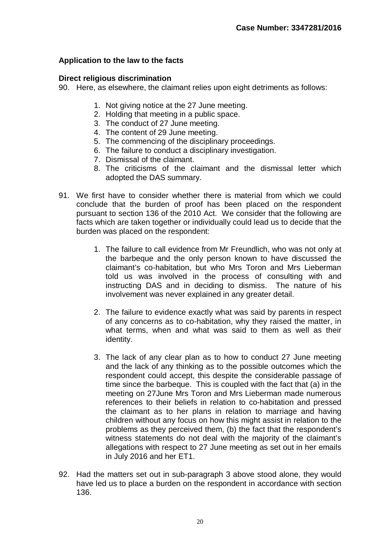#### **Application to the law to the facts**

#### **Direct religious discrimination**

90. Here, as elsewhere, the claimant relies upon eight detriments as follows:

- 1. Not giving notice at the 27 June meeting.
- 2. Holding that meeting in a public space.
- 3. The conduct of 27 June meeting.
- 4. The content of 29 June meeting.
- 5. The commencing of the disciplinary proceedings.
- 6. The failure to conduct a disciplinary investigation.
- 7. Dismissal of the claimant.
- 8. The criticisms of the claimant and the dismissal letter which adopted the DAS summary.
- 91. We first have to consider whether there is material from which we could conclude that the burden of proof has been placed on the respondent pursuant to section 136 of the 2010 Act. We consider that the following are facts which are taken together or individually could lead us to decide that the burden was placed on the respondent:
	- 1. The failure to call evidence from Mr Freundlich, who was not only at the barbeque and the only person known to have discussed the claimant's co-habitation, but who Mrs Toron and Mrs Lieberman told us was involved in the process of consulting with and instructing DAS and in deciding to dismiss. The nature of his involvement was never explained in any greater detail.
	- 2. The failure to evidence exactly what was said by parents in respect of any concerns as to co-habitation, why they raised the matter, in what terms, when and what was said to them as well as their identity.
	- 3. The lack of any clear plan as to how to conduct 27 June meeting and the lack of any thinking as to the possible outcomes which the respondent could accept, this despite the considerable passage of time since the barbeque. This is coupled with the fact that (a) in the meeting on 27June Mrs Toron and Mrs Lieberman made numerous references to their beliefs in relation to co-habitation and pressed the claimant as to her plans in relation to marriage and having children without any focus on how this might assist in relation to the problems as they perceived them, (b) the fact that the respondent's witness statements do not deal with the majority of the claimant's allegations with respect to 27 June meeting as set out in her emails in July 2016 and her ET1.
- 92. Had the matters set out in sub-paragraph 3 above stood alone, they would have led us to place a burden on the respondent in accordance with section 136.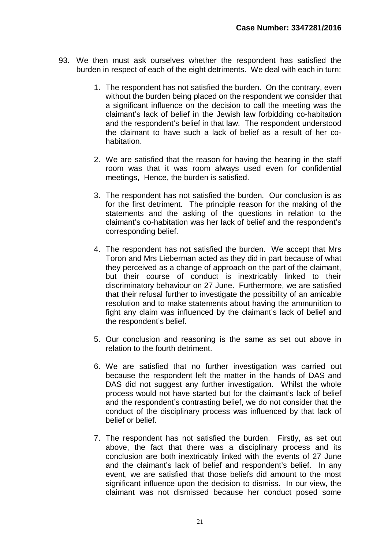- 93. We then must ask ourselves whether the respondent has satisfied the burden in respect of each of the eight detriments. We deal with each in turn:
	- 1. The respondent has not satisfied the burden. On the contrary, even without the burden being placed on the respondent we consider that a significant influence on the decision to call the meeting was the claimant's lack of belief in the Jewish law forbidding co-habitation and the respondent's belief in that law. The respondent understood the claimant to have such a lack of belief as a result of her cohabitation.
	- 2. We are satisfied that the reason for having the hearing in the staff room was that it was room always used even for confidential meetings, Hence, the burden is satisfied.
	- 3. The respondent has not satisfied the burden. Our conclusion is as for the first detriment. The principle reason for the making of the statements and the asking of the questions in relation to the claimant's co-habitation was her lack of belief and the respondent's corresponding belief.
	- 4. The respondent has not satisfied the burden. We accept that Mrs Toron and Mrs Lieberman acted as they did in part because of what they perceived as a change of approach on the part of the claimant, but their course of conduct is inextricably linked to their discriminatory behaviour on 27 June. Furthermore, we are satisfied that their refusal further to investigate the possibility of an amicable resolution and to make statements about having the ammunition to fight any claim was influenced by the claimant's lack of belief and the respondent's belief.
	- 5. Our conclusion and reasoning is the same as set out above in relation to the fourth detriment.
	- 6. We are satisfied that no further investigation was carried out because the respondent left the matter in the hands of DAS and DAS did not suggest any further investigation. Whilst the whole process would not have started but for the claimant's lack of belief and the respondent's contrasting belief, we do not consider that the conduct of the disciplinary process was influenced by that lack of belief or belief.
	- 7. The respondent has not satisfied the burden. Firstly, as set out above, the fact that there was a disciplinary process and its conclusion are both inextricably linked with the events of 27 June and the claimant's lack of belief and respondent's belief. In any event, we are satisfied that those beliefs did amount to the most significant influence upon the decision to dismiss. In our view, the claimant was not dismissed because her conduct posed some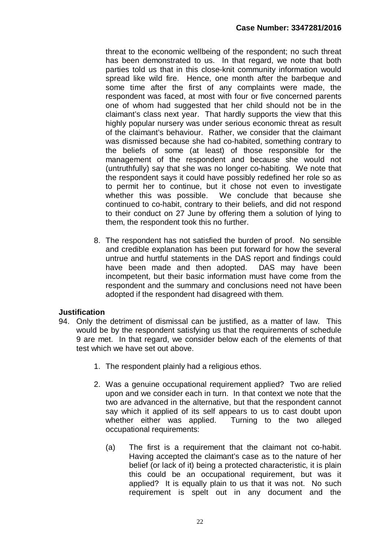threat to the economic wellbeing of the respondent; no such threat has been demonstrated to us. In that regard, we note that both parties told us that in this close-knit community information would spread like wild fire. Hence, one month after the barbeque and some time after the first of any complaints were made, the respondent was faced, at most with four or five concerned parents one of whom had suggested that her child should not be in the claimant's class next year. That hardly supports the view that this highly popular nursery was under serious economic threat as result of the claimant's behaviour. Rather, we consider that the claimant was dismissed because she had co-habited, something contrary to the beliefs of some (at least) of those responsible for the management of the respondent and because she would not (untruthfully) say that she was no longer co-habiting. We note that the respondent says it could have possibly redefined her role so as to permit her to continue, but it chose not even to investigate whether this was possible. We conclude that because she continued to co-habit, contrary to their beliefs, and did not respond to their conduct on 27 June by offering them a solution of lying to them, the respondent took this no further.

8. The respondent has not satisfied the burden of proof. No sensible and credible explanation has been put forward for how the several untrue and hurtful statements in the DAS report and findings could have been made and then adopted. DAS may have been incompetent, but their basic information must have come from the respondent and the summary and conclusions need not have been adopted if the respondent had disagreed with them.

#### **Justification**

- 94. Only the detriment of dismissal can be justified, as a matter of law. This would be by the respondent satisfying us that the requirements of schedule 9 are met. In that regard, we consider below each of the elements of that test which we have set out above.
	- 1. The respondent plainly had a religious ethos.
	- 2. Was a genuine occupational requirement applied? Two are relied upon and we consider each in turn. In that context we note that the two are advanced in the alternative, but that the respondent cannot say which it applied of its self appears to us to cast doubt upon whether either was applied. Turning to the two alleged occupational requirements:
		- (a) The first is a requirement that the claimant not co-habit. Having accepted the claimant's case as to the nature of her belief (or lack of it) being a protected characteristic, it is plain this could be an occupational requirement, but was it applied? It is equally plain to us that it was not. No such requirement is spelt out in any document and the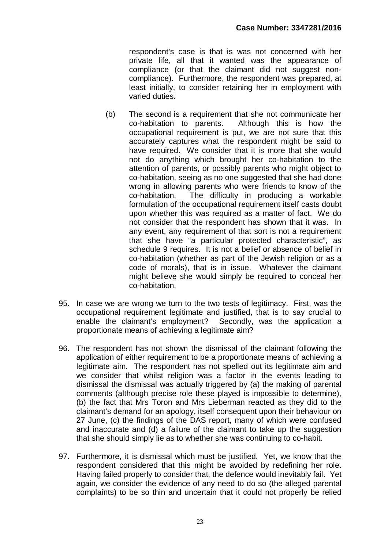respondent's case is that is was not concerned with her private life, all that it wanted was the appearance of compliance (or that the claimant did not suggest noncompliance). Furthermore, the respondent was prepared, at least initially, to consider retaining her in employment with varied duties.

- (b) The second is a requirement that she not communicate her co-habitation to parents. Although this is how the occupational requirement is put, we are not sure that this accurately captures what the respondent might be said to have required. We consider that it is more that she would not do anything which brought her co-habitation to the attention of parents, or possibly parents who might object to co-habitation, seeing as no one suggested that she had done wrong in allowing parents who were friends to know of the co-habitation. The difficulty in producing a workable formulation of the occupational requirement itself casts doubt upon whether this was required as a matter of fact. We do not consider that the respondent has shown that it was. In any event, any requirement of that sort is not a requirement that she have "a particular protected characteristic", as schedule 9 requires. It is not a belief or absence of belief in co-habitation (whether as part of the Jewish religion or as a code of morals), that is in issue. Whatever the claimant might believe she would simply be required to conceal her co-habitation.
- 95. In case we are wrong we turn to the two tests of legitimacy. First, was the occupational requirement legitimate and justified, that is to say crucial to enable the claimant's employment? Secondly, was the application a proportionate means of achieving a legitimate aim?
- 96. The respondent has not shown the dismissal of the claimant following the application of either requirement to be a proportionate means of achieving a legitimate aim. The respondent has not spelled out its legitimate aim and we consider that whilst religion was a factor in the events leading to dismissal the dismissal was actually triggered by (a) the making of parental comments (although precise role these played is impossible to determine), (b) the fact that Mrs Toron and Mrs Lieberman reacted as they did to the claimant's demand for an apology, itself consequent upon their behaviour on 27 June, (c) the findings of the DAS report, many of which were confused and inaccurate and (d) a failure of the claimant to take up the suggestion that she should simply lie as to whether she was continuing to co-habit.
- 97. Furthermore, it is dismissal which must be justified. Yet, we know that the respondent considered that this might be avoided by redefining her role. Having failed properly to consider that, the defence would inevitably fail. Yet again, we consider the evidence of any need to do so (the alleged parental complaints) to be so thin and uncertain that it could not properly be relied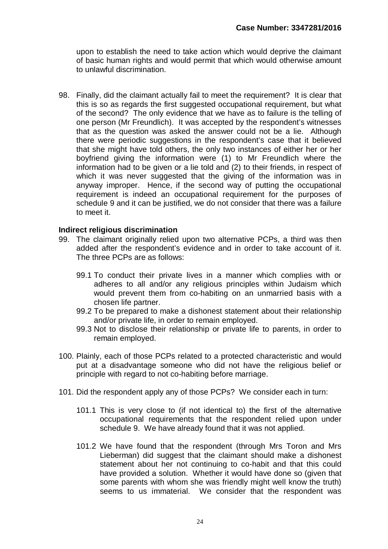upon to establish the need to take action which would deprive the claimant of basic human rights and would permit that which would otherwise amount to unlawful discrimination.

98. Finally, did the claimant actually fail to meet the requirement? It is clear that this is so as regards the first suggested occupational requirement, but what of the second? The only evidence that we have as to failure is the telling of one person (Mr Freundlich). It was accepted by the respondent's witnesses that as the question was asked the answer could not be a lie. Although there were periodic suggestions in the respondent's case that it believed that she might have told others, the only two instances of either her or her boyfriend giving the information were (1) to Mr Freundlich where the information had to be given or a lie told and (2) to their friends, in respect of which it was never suggested that the giving of the information was in anyway improper. Hence, if the second way of putting the occupational requirement is indeed an occupational requirement for the purposes of schedule 9 and it can be justified, we do not consider that there was a failure to meet it.

#### **Indirect religious discrimination**

- 99. The claimant originally relied upon two alternative PCPs, a third was then added after the respondent's evidence and in order to take account of it. The three PCPs are as follows:
	- 99.1 To conduct their private lives in a manner which complies with or adheres to all and/or any religious principles within Judaism which would prevent them from co-habiting on an unmarried basis with a chosen life partner.
	- 99.2 To be prepared to make a dishonest statement about their relationship and/or private life, in order to remain employed.
	- 99.3 Not to disclose their relationship or private life to parents, in order to remain employed.
- 100. Plainly, each of those PCPs related to a protected characteristic and would put at a disadvantage someone who did not have the religious belief or principle with regard to not co-habiting before marriage.
- 101. Did the respondent apply any of those PCPs? We consider each in turn:
	- 101.1 This is very close to (if not identical to) the first of the alternative occupational requirements that the respondent relied upon under schedule 9. We have already found that it was not applied.
	- 101.2 We have found that the respondent (through Mrs Toron and Mrs Lieberman) did suggest that the claimant should make a dishonest statement about her not continuing to co-habit and that this could have provided a solution. Whether it would have done so (given that some parents with whom she was friendly might well know the truth) seems to us immaterial. We consider that the respondent was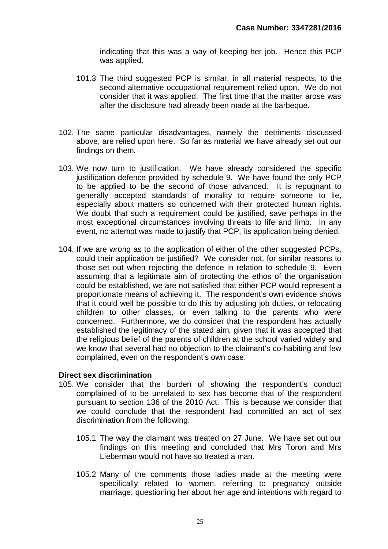indicating that this was a way of keeping her job. Hence this PCP was applied.

- 101.3 The third suggested PCP is similar, in all material respects, to the second alternative occupational requirement relied upon. We do not consider that it was applied. The first time that the matter arose was after the disclosure had already been made at the barbeque.
- 102. The same particular disadvantages, namely the detriments discussed above, are relied upon here. So far as material we have already set out our findings on them.
- 103. We now turn to justification. We have already considered the specific justification defence provided by schedule 9. We have found the only PCP to be applied to be the second of those advanced. It is repugnant to generally accepted standards of morality to require someone to lie, especially about matters so concerned with their protected human rights. We doubt that such a requirement could be justified, save perhaps in the most exceptional circumstances involving threats to life and limb. In any event, no attempt was made to justify that PCP, its application being denied.
- 104. If we are wrong as to the application of either of the other suggested PCPs, could their application be justified? We consider not, for similar reasons to those set out when rejecting the defence in relation to schedule 9. Even assuming that a legitimate aim of protecting the ethos of the organisation could be established, we are not satisfied that either PCP would represent a proportionate means of achieving it. The respondent's own evidence shows that it could well be possible to do this by adjusting job duties, or relocating children to other classes, or even talking to the parents who were concerned. Furthermore, we do consider that the respondent has actually established the legitimacy of the stated aim, given that it was accepted that the religious belief of the parents of children at the school varied widely and we know that several had no objection to the claimant's co-habiting and few complained, even on the respondent's own case.

#### **Direct sex discrimination**

- 105. We consider that the burden of showing the respondent's conduct complained of to be unrelated to sex has become that of the respondent pursuant to section 136 of the 2010 Act. This is because we consider that we could conclude that the respondent had committed an act of sex discrimination from the following:
	- 105.1 The way the claimant was treated on 27 June. We have set out our findings on this meeting and concluded that Mrs Toron and Mrs Lieberman would not have so treated a man.
	- 105.2 Many of the comments those ladies made at the meeting were specifically related to women, referring to pregnancy outside marriage, questioning her about her age and intentions with regard to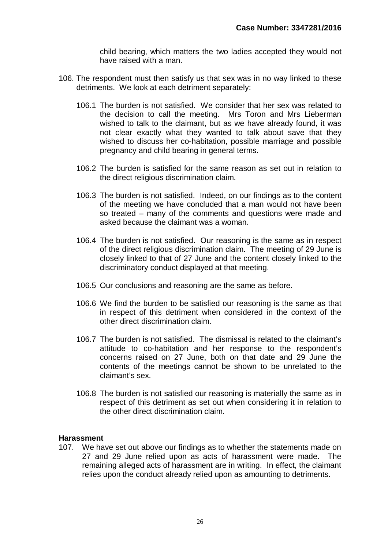child bearing, which matters the two ladies accepted they would not have raised with a man.

- 106. The respondent must then satisfy us that sex was in no way linked to these detriments. We look at each detriment separately:
	- 106.1 The burden is not satisfied. We consider that her sex was related to the decision to call the meeting. Mrs Toron and Mrs Lieberman wished to talk to the claimant, but as we have already found, it was not clear exactly what they wanted to talk about save that they wished to discuss her co-habitation, possible marriage and possible pregnancy and child bearing in general terms.
	- 106.2 The burden is satisfied for the same reason as set out in relation to the direct religious discrimination claim.
	- 106.3 The burden is not satisfied. Indeed, on our findings as to the content of the meeting we have concluded that a man would not have been so treated – many of the comments and questions were made and asked because the claimant was a woman.
	- 106.4 The burden is not satisfied. Our reasoning is the same as in respect of the direct religious discrimination claim. The meeting of 29 June is closely linked to that of 27 June and the content closely linked to the discriminatory conduct displayed at that meeting.
	- 106.5 Our conclusions and reasoning are the same as before.
	- 106.6 We find the burden to be satisfied our reasoning is the same as that in respect of this detriment when considered in the context of the other direct discrimination claim.
	- 106.7 The burden is not satisfied. The dismissal is related to the claimant's attitude to co-habitation and her response to the respondent's concerns raised on 27 June, both on that date and 29 June the contents of the meetings cannot be shown to be unrelated to the claimant's sex.
	- 106.8 The burden is not satisfied our reasoning is materially the same as in respect of this detriment as set out when considering it in relation to the other direct discrimination claim.

#### **Harassment**

107. We have set out above our findings as to whether the statements made on 27 and 29 June relied upon as acts of harassment were made. The remaining alleged acts of harassment are in writing. In effect, the claimant relies upon the conduct already relied upon as amounting to detriments.